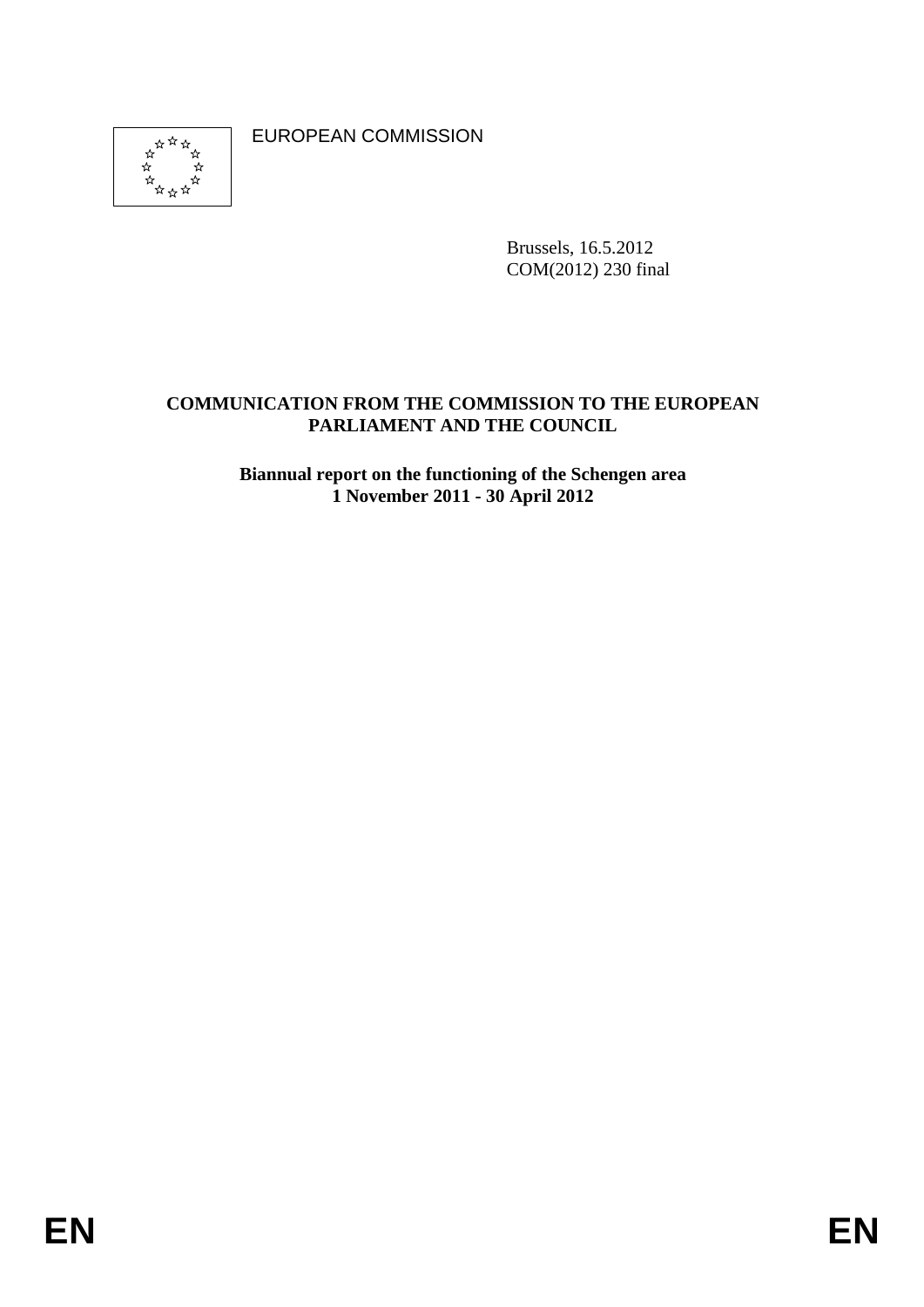্র

EUROPEAN COMMISSION

Brussels, 16.5.2012 COM(2012) 230 final

# **COMMUNICATION FROM THE COMMISSION TO THE EUROPEAN PARLIAMENT AND THE COUNCIL**

**Biannual report on the functioning of the Schengen area 1 November 2011 - 30 April 2012**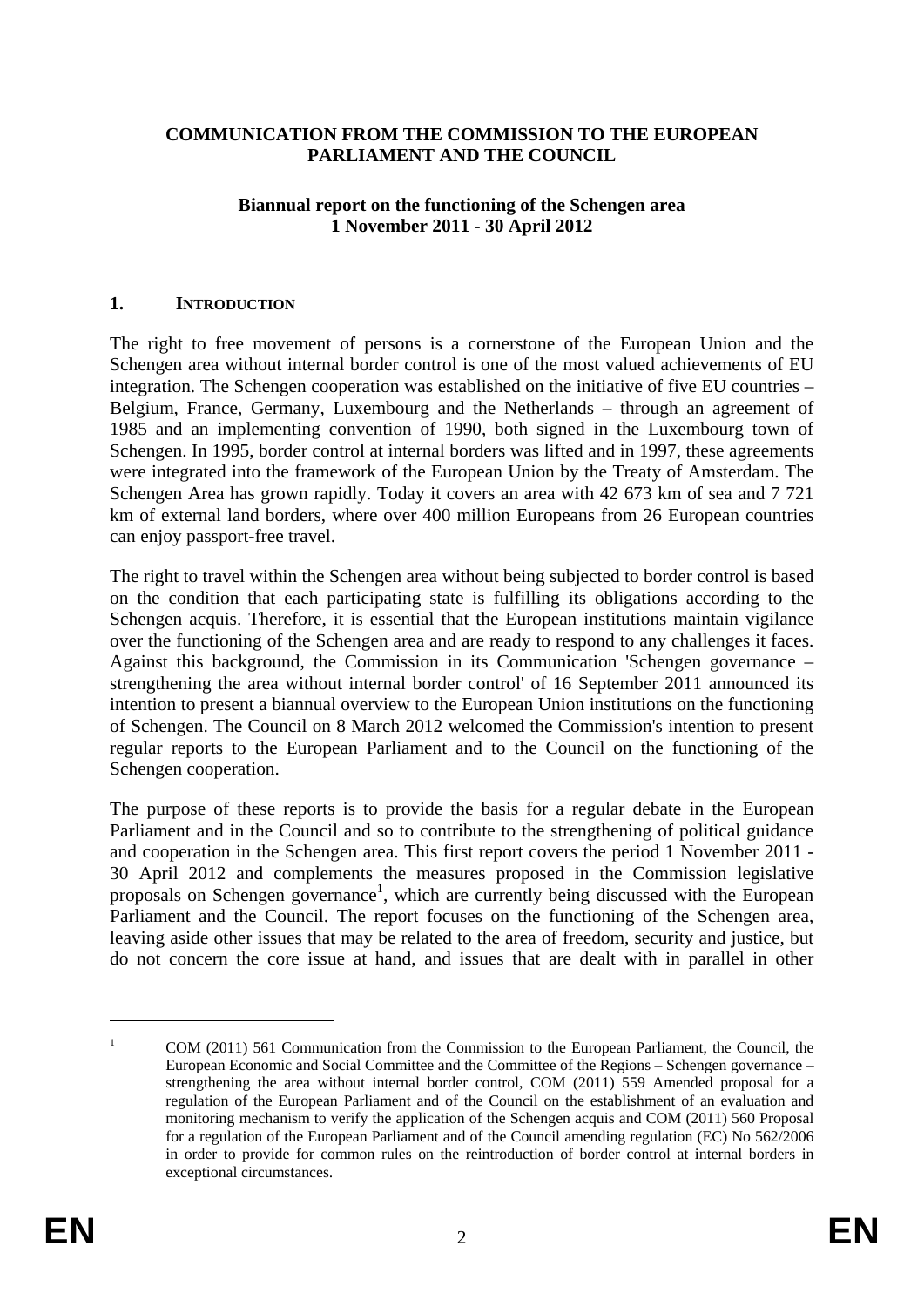#### **COMMUNICATION FROM THE COMMISSION TO THE EUROPEAN PARLIAMENT AND THE COUNCIL**

#### **Biannual report on the functioning of the Schengen area 1 November 2011 - 30 April 2012**

#### **1. INTRODUCTION**

The right to free movement of persons is a cornerstone of the European Union and the Schengen area without internal border control is one of the most valued achievements of EU integration. The Schengen cooperation was established on the initiative of five EU countries – Belgium, France, Germany, Luxembourg and the Netherlands – through an agreement of 1985 and an implementing convention of 1990, both signed in the Luxembourg town of Schengen. In 1995, border control at internal borders was lifted and in 1997, these agreements were integrated into the framework of the European Union by the Treaty of Amsterdam. The Schengen Area has grown rapidly. Today it covers an area with 42 673 km of sea and 7 721 km of external land borders, where over 400 million Europeans from 26 European countries can enjoy passport-free travel.

The right to travel within the Schengen area without being subjected to border control is based on the condition that each participating state is fulfilling its obligations according to the Schengen acquis. Therefore, it is essential that the European institutions maintain vigilance over the functioning of the Schengen area and are ready to respond to any challenges it faces. Against this background, the Commission in its Communication 'Schengen governance – strengthening the area without internal border control' of 16 September 2011 announced its intention to present a biannual overview to the European Union institutions on the functioning of Schengen. The Council on 8 March 2012 welcomed the Commission's intention to present regular reports to the European Parliament and to the Council on the functioning of the Schengen cooperation.

The purpose of these reports is to provide the basis for a regular debate in the European Parliament and in the Council and so to contribute to the strengthening of political guidance and cooperation in the Schengen area. This first report covers the period 1 November 2011 - 30 April 2012 and complements the measures proposed in the Commission legislative proposals on Schengen governance<sup>1</sup>, which are currently being discussed with the European Parliament and the Council. The report focuses on the functioning of the Schengen area, leaving aside other issues that may be related to the area of freedom, security and justice, but do not concern the core issue at hand, and issues that are dealt with in parallel in other

<u>.</u>

<sup>1</sup> COM (2011) 561 Communication from the Commission to the European Parliament, the Council, the European Economic and Social Committee and the Committee of the Regions – Schengen governance – strengthening the area without internal border control, COM (2011) 559 Amended proposal for a regulation of the European Parliament and of the Council on the establishment of an evaluation and monitoring mechanism to verify the application of the Schengen acquis and COM (2011) 560 Proposal for a regulation of the European Parliament and of the Council amending regulation (EC) No 562/2006 in order to provide for common rules on the reintroduction of border control at internal borders in exceptional circumstances.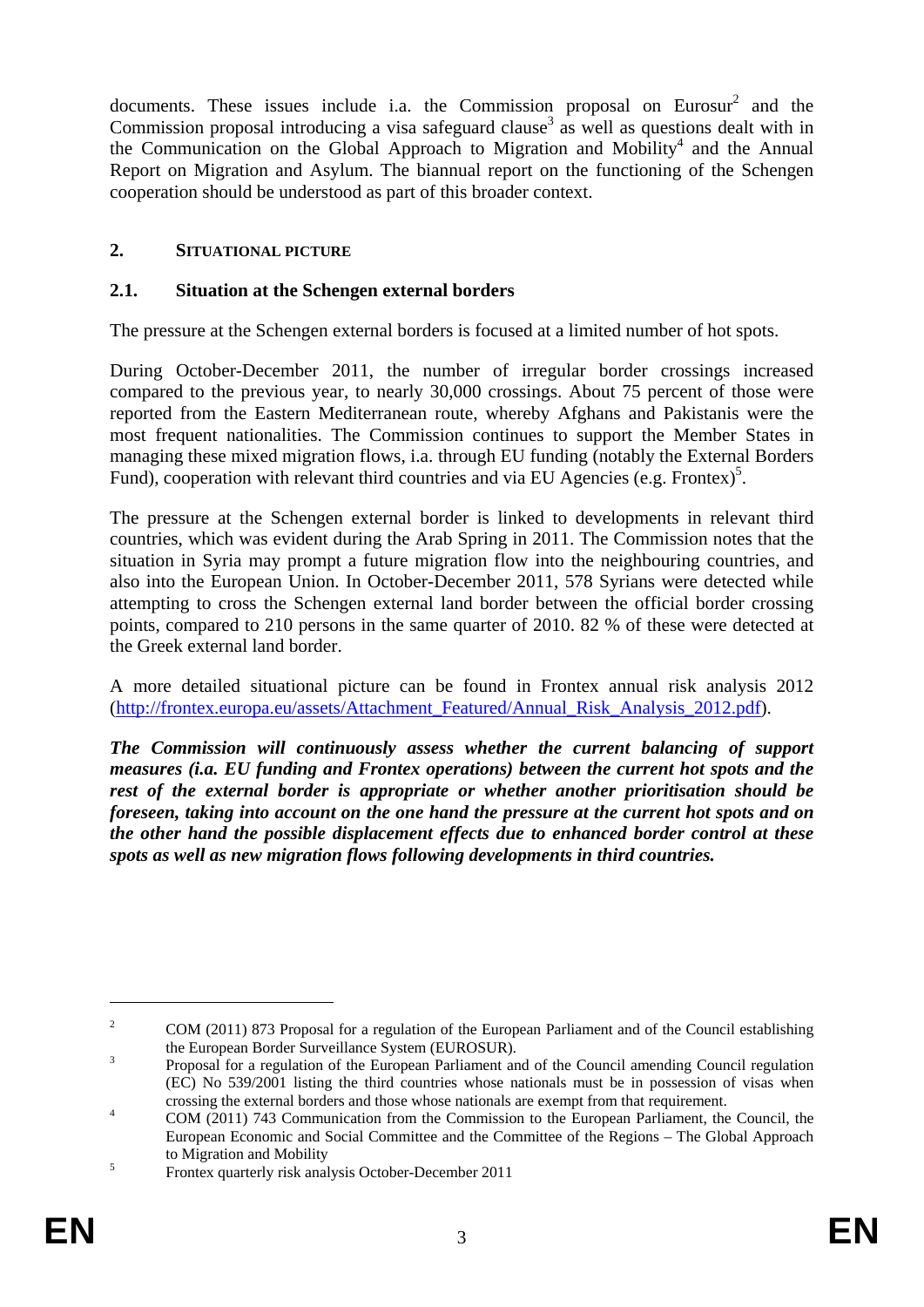documents. These issues include i.a. the Commission proposal on Eurosur<sup>2</sup> and the Commission proposal introducing a visa safeguard clause<sup>3</sup> as well as questions dealt with in the Communication on the Global Approach to Migration and Mobility<sup>4</sup> and the Annual Report on Migration and Asylum. The biannual report on the functioning of the Schengen cooperation should be understood as part of this broader context.

### **2. SITUATIONAL PICTURE**

#### **2.1. Situation at the Schengen external borders**

The pressure at the Schengen external borders is focused at a limited number of hot spots.

During October-December 2011, the number of irregular border crossings increased compared to the previous year, to nearly 30,000 crossings. About 75 percent of those were reported from the Eastern Mediterranean route, whereby Afghans and Pakistanis were the most frequent nationalities. The Commission continues to support the Member States in managing these mixed migration flows, i.a. through EU funding (notably the External Borders Fund), cooperation with relevant third countries and via EU Agencies (e.g. Frontex)<sup>5</sup>.

The pressure at the Schengen external border is linked to developments in relevant third countries, which was evident during the Arab Spring in 2011. The Commission notes that the situation in Syria may prompt a future migration flow into the neighbouring countries, and also into the European Union. In October-December 2011, 578 Syrians were detected while attempting to cross the Schengen external land border between the official border crossing points, compared to 210 persons in the same quarter of 2010. 82 % of these were detected at the Greek external land border.

A more detailed situational picture can be found in Frontex annual risk analysis 2012 [\(http://frontex.europa.eu/assets/Attachment\\_Featured/Annual\\_Risk\\_Analysis\\_2012.pdf\)](http://frontex.europa.eu/assets/Attachment_Featured/Annual_Risk_Analysis_2012.pdf).

*The Commission will continuously assess whether the current balancing of support measures (i.a. EU funding and Frontex operations) between the current hot spots and the rest of the external border is appropriate or whether another prioritisation should be foreseen, taking into account on the one hand the pressure at the current hot spots and on the other hand the possible displacement effects due to enhanced border control at these spots as well as new migration flows following developments in third countries.* 

<sup>2</sup> COM (2011) 873 Proposal for a regulation of the European Parliament and of the Council establishing the European Border Surveillance System (EUROSUR).

Proposal for a regulation of the European Parliament and of the Council amending Council regulation (EC) No 539/2001 listing the third countries whose nationals must be in possession of visas when crossing the external borders and those whose nationals are exempt from that requirement.

COM (2011) 743 Communication from the Commission to the European Parliament, the Council, the European Economic and Social Committee and the Committee of the Regions – The Global Approach to Migration and Mobility<br>  $\frac{5}{2}$ 

Frontex quarterly risk analysis October-December 2011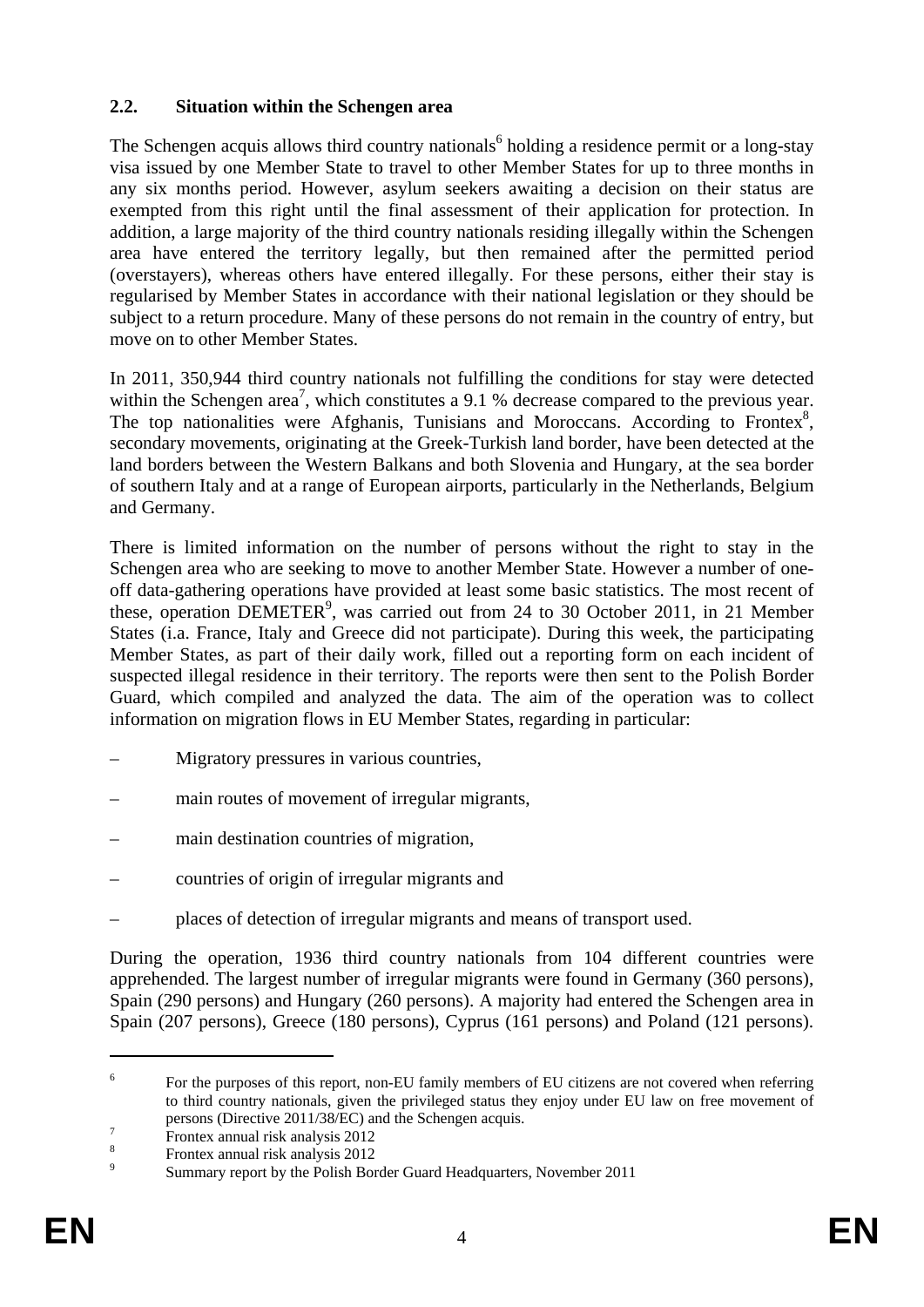### **2.2. Situation within the Schengen area**

The Schengen acquis allows third country nationals<sup>6</sup> holding a residence permit or a long-stay visa issued by one Member State to travel to other Member States for up to three months in any six months period. However, asylum seekers awaiting a decision on their status are exempted from this right until the final assessment of their application for protection. In addition, a large majority of the third country nationals residing illegally within the Schengen area have entered the territory legally, but then remained after the permitted period (overstayers), whereas others have entered illegally. For these persons, either their stay is regularised by Member States in accordance with their national legislation or they should be subject to a return procedure. Many of these persons do not remain in the country of entry, but move on to other Member States.

In 2011, 350,944 third country nationals not fulfilling the conditions for stay were detected within the Schengen area<sup>7</sup>, which constitutes a 9.1 % decrease compared to the previous year. The top nationalities were Afghanis, Tunisians and Moroccans. According to Frontex<sup>8</sup>, secondary movements, originating at the Greek-Turkish land border, have been detected at the land borders between the Western Balkans and both Slovenia and Hungary, at the sea border of southern Italy and at a range of European airports, particularly in the Netherlands, Belgium and Germany.

There is limited information on the number of persons without the right to stay in the Schengen area who are seeking to move to another Member State. However a number of oneoff data-gathering operations have provided at least some basic statistics. The most recent of these, operation DEMETER<sup>9</sup>, was carried out from 24 to 30 October 2011, in 21 Member States (i.a. France, Italy and Greece did not participate). During this week, the participating Member States, as part of their daily work, filled out a reporting form on each incident of suspected illegal residence in their territory. The reports were then sent to the Polish Border Guard, which compiled and analyzed the data. The aim of the operation was to collect information on migration flows in EU Member States, regarding in particular:

- Migratory pressures in various countries,
- main routes of movement of irregular migrants,
- main destination countries of migration,
- countries of origin of irregular migrants and
- places of detection of irregular migrants and means of transport used.

During the operation, 1936 third country nationals from 104 different countries were apprehended. The largest number of irregular migrants were found in Germany (360 persons), Spain (290 persons) and Hungary (260 persons). A majority had entered the Schengen area in Spain (207 persons), Greece (180 persons), Cyprus (161 persons) and Poland (121 persons).

<sup>6</sup> For the purposes of this report, non-EU family members of EU citizens are not covered when referring to third country nationals, given the privileged status they enjoy under EU law on free movement of persons (Directive 2011/38/EC) and the Schengen acquis.

Frontex annual risk analysis 2012

<sup>8</sup> Frontex annual risk analysis 2012

<sup>9</sup> Summary report by the Polish Border Guard Headquarters, November 2011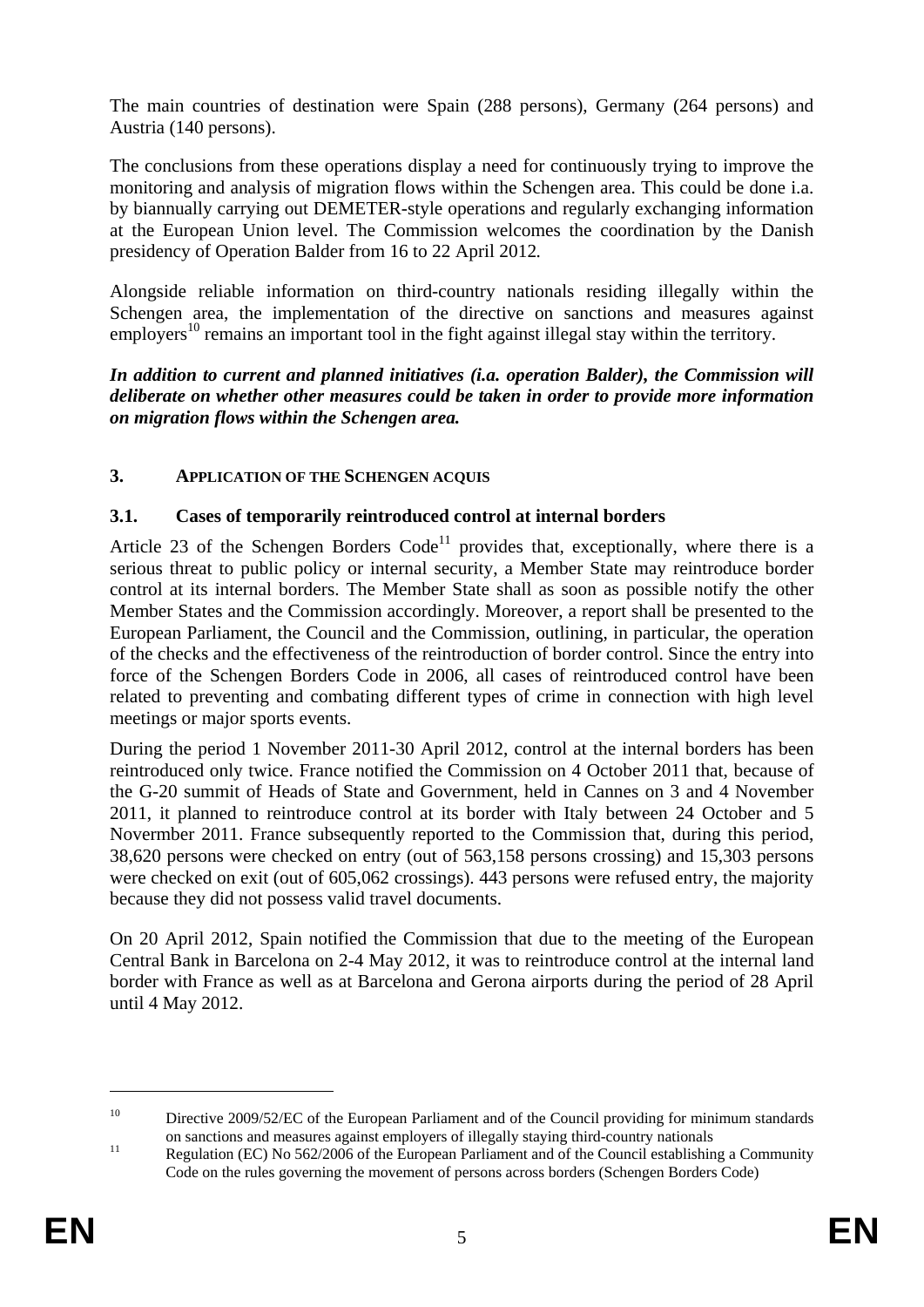The main countries of destination were Spain (288 persons), Germany (264 persons) and Austria (140 persons).

The conclusions from these operations display a need for continuously trying to improve the monitoring and analysis of migration flows within the Schengen area. This could be done i.a. by biannually carrying out DEMETER-style operations and regularly exchanging information at the European Union level. The Commission welcomes the coordination by the Danish presidency of Operation Balder from 16 to 22 April 2012*.* 

Alongside reliable information on third-country nationals residing illegally within the Schengen area, the implementation of the directive on sanctions and measures against employers<sup>10</sup> remains an important tool in the fight against illegal stay within the territory.

*In addition to current and planned initiatives (i.a. operation Balder), the Commission will deliberate on whether other measures could be taken in order to provide more information on migration flows within the Schengen area.* 

# **3. APPLICATION OF THE SCHENGEN ACQUIS**

### **3.1. Cases of temporarily reintroduced control at internal borders**

Article 23 of the Schengen Borders  $Code<sup>11</sup>$  provides that, exceptionally, where there is a serious threat to public policy or internal security, a Member State may reintroduce border control at its internal borders. The Member State shall as soon as possible notify the other Member States and the Commission accordingly. Moreover, a report shall be presented to the European Parliament, the Council and the Commission, outlining, in particular, the operation of the checks and the effectiveness of the reintroduction of border control. Since the entry into force of the Schengen Borders Code in 2006, all cases of reintroduced control have been related to preventing and combating different types of crime in connection with high level meetings or major sports events.

During the period 1 November 2011-30 April 2012, control at the internal borders has been reintroduced only twice. France notified the Commission on 4 October 2011 that, because of the G-20 summit of Heads of State and Government, held in Cannes on 3 and 4 November 2011, it planned to reintroduce control at its border with Italy between 24 October and 5 Novermber 2011. France subsequently reported to the Commission that, during this period, 38,620 persons were checked on entry (out of 563,158 persons crossing) and 15,303 persons were checked on exit (out of 605,062 crossings). 443 persons were refused entry, the majority because they did not possess valid travel documents.

On 20 April 2012, Spain notified the Commission that due to the meeting of the European Central Bank in Barcelona on 2-4 May 2012, it was to reintroduce control at the internal land border with France as well as at Barcelona and Gerona airports during the period of 28 April until 4 May 2012.

<sup>&</sup>lt;sup>10</sup> Directive 2009/52/EC of the European Parliament and of the Council providing for minimum standards

on sanctions and measures against employers of illegally staying third-country nationals<br>
11 Regulation (EC) No 562/2006 of the European Parliament and of the Council establishing a Community Code on the rules governing the movement of persons across borders (Schengen Borders Code)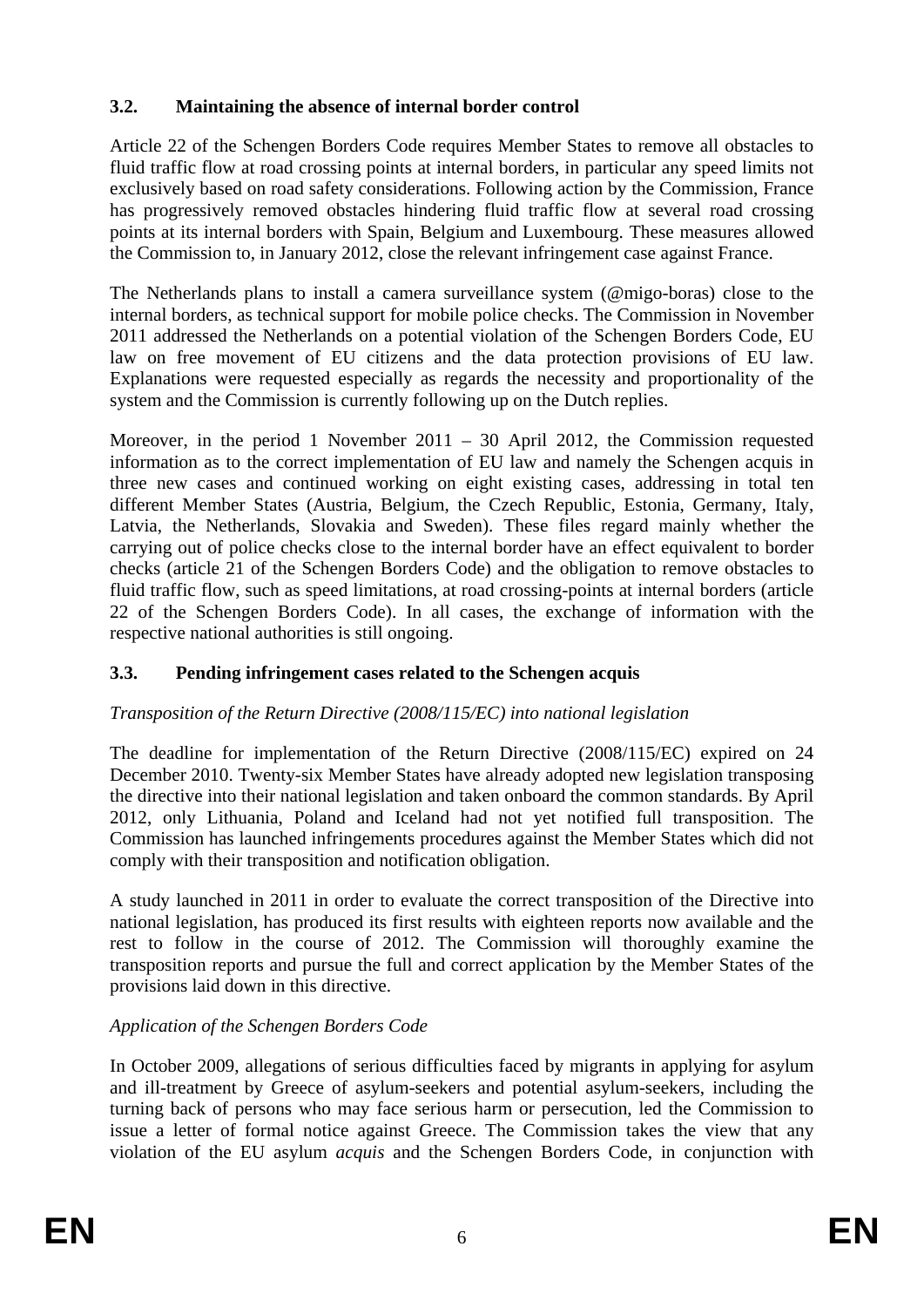# **3.2. Maintaining the absence of internal border control**

Article 22 of the Schengen Borders Code requires Member States to remove all obstacles to fluid traffic flow at road crossing points at internal borders, in particular any speed limits not exclusively based on road safety considerations. Following action by the Commission, France has progressively removed obstacles hindering fluid traffic flow at several road crossing points at its internal borders with Spain, Belgium and Luxembourg. These measures allowed the Commission to, in January 2012, close the relevant infringement case against France.

The Netherlands plans to install a camera surveillance system (@migo-boras) close to the internal borders, as technical support for mobile police checks. The Commission in November 2011 addressed the Netherlands on a potential violation of the Schengen Borders Code, EU law on free movement of EU citizens and the data protection provisions of EU law. Explanations were requested especially as regards the necessity and proportionality of the system and the Commission is currently following up on the Dutch replies.

Moreover, in the period 1 November 2011 – 30 April 2012, the Commission requested information as to the correct implementation of EU law and namely the Schengen acquis in three new cases and continued working on eight existing cases, addressing in total ten different Member States (Austria, Belgium, the Czech Republic, Estonia, Germany, Italy, Latvia, the Netherlands, Slovakia and Sweden). These files regard mainly whether the carrying out of police checks close to the internal border have an effect equivalent to border checks (article 21 of the Schengen Borders Code) and the obligation to remove obstacles to fluid traffic flow, such as speed limitations, at road crossing-points at internal borders (article 22 of the Schengen Borders Code). In all cases, the exchange of information with the respective national authorities is still ongoing.

# **3.3. Pending infringement cases related to the Schengen acquis**

# *Transposition of the Return Directive (2008/115/EC) into national legislation*

The deadline for implementation of the Return Directive (2008/115/EC) expired on 24 December 2010. Twenty-six Member States have already adopted new legislation transposing the directive into their national legislation and taken onboard the common standards. By April 2012, only Lithuania, Poland and Iceland had not yet notified full transposition. The Commission has launched infringements procedures against the Member States which did not comply with their transposition and notification obligation.

A study launched in 2011 in order to evaluate the correct transposition of the Directive into national legislation, has produced its first results with eighteen reports now available and the rest to follow in the course of 2012. The Commission will thoroughly examine the transposition reports and pursue the full and correct application by the Member States of the provisions laid down in this directive.

# *Application of the Schengen Borders Code*

In October 2009, allegations of serious difficulties faced by migrants in applying for asylum and ill-treatment by Greece of asylum-seekers and potential asylum-seekers, including the turning back of persons who may face serious harm or persecution, led the Commission to issue a letter of formal notice against Greece. The Commission takes the view that any violation of the EU asylum *acquis* and the Schengen Borders Code, in conjunction with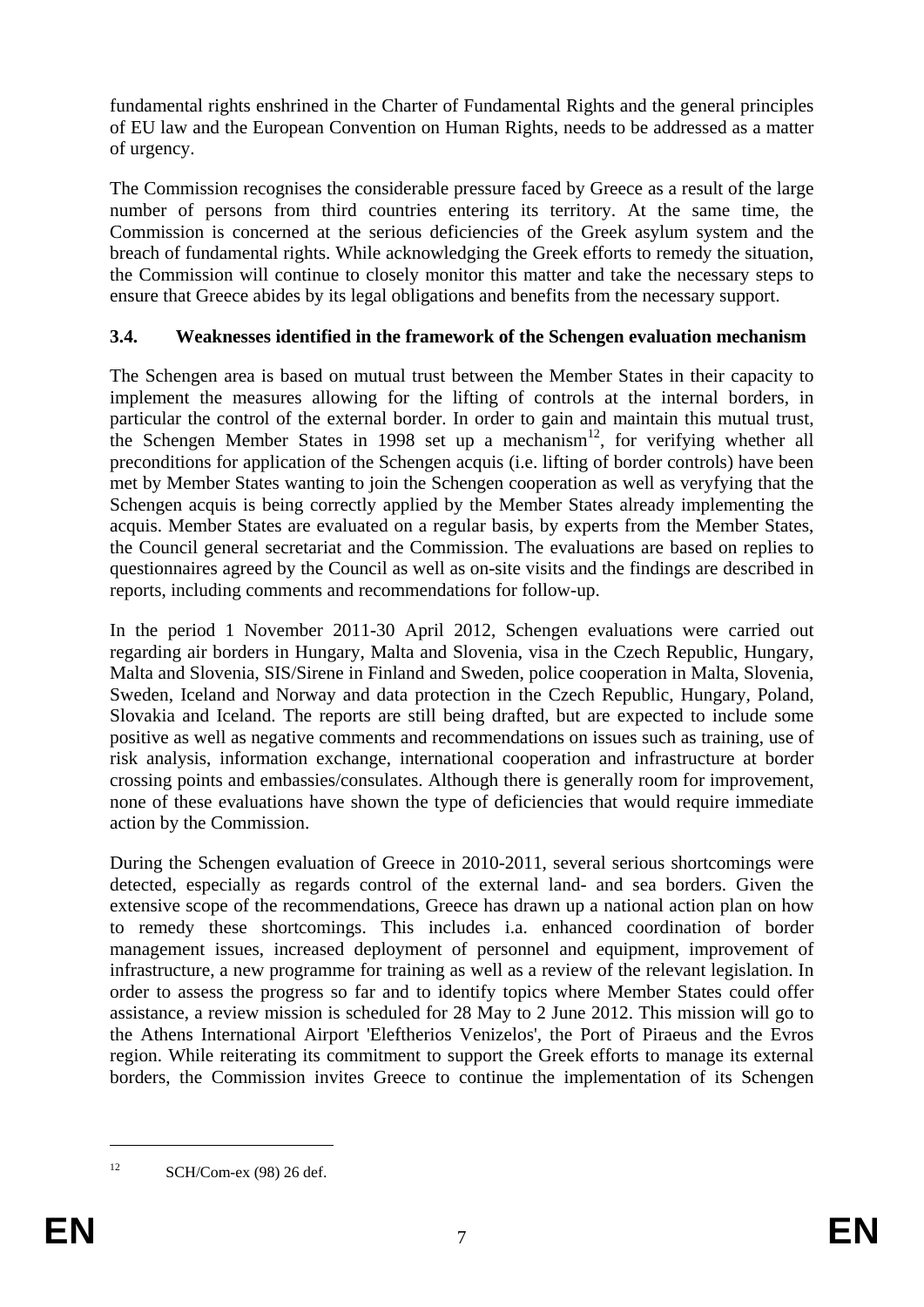fundamental rights enshrined in the Charter of Fundamental Rights and the general principles of EU law and the European Convention on Human Rights, needs to be addressed as a matter of urgency.

The Commission recognises the considerable pressure faced by Greece as a result of the large number of persons from third countries entering its territory. At the same time, the Commission is concerned at the serious deficiencies of the Greek asylum system and the breach of fundamental rights. While acknowledging the Greek efforts to remedy the situation, the Commission will continue to closely monitor this matter and take the necessary steps to ensure that Greece abides by its legal obligations and benefits from the necessary support.

# **3.4. Weaknesses identified in the framework of the Schengen evaluation mechanism**

The Schengen area is based on mutual trust between the Member States in their capacity to implement the measures allowing for the lifting of controls at the internal borders, in particular the control of the external border. In order to gain and maintain this mutual trust, the Schengen Member States in 1998 set up a mechanism<sup>12</sup>, for verifying whether all preconditions for application of the Schengen acquis (i.e. lifting of border controls) have been met by Member States wanting to join the Schengen cooperation as well as veryfying that the Schengen acquis is being correctly applied by the Member States already implementing the acquis. Member States are evaluated on a regular basis, by experts from the Member States, the Council general secretariat and the Commission. The evaluations are based on replies to questionnaires agreed by the Council as well as on-site visits and the findings are described in reports, including comments and recommendations for follow-up.

In the period 1 November 2011-30 April 2012, Schengen evaluations were carried out regarding air borders in Hungary, Malta and Slovenia, visa in the Czech Republic, Hungary, Malta and Slovenia, SIS/Sirene in Finland and Sweden, police cooperation in Malta, Slovenia, Sweden, Iceland and Norway and data protection in the Czech Republic, Hungary, Poland, Slovakia and Iceland. The reports are still being drafted, but are expected to include some positive as well as negative comments and recommendations on issues such as training, use of risk analysis, information exchange, international cooperation and infrastructure at border crossing points and embassies/consulates. Although there is generally room for improvement, none of these evaluations have shown the type of deficiencies that would require immediate action by the Commission.

During the Schengen evaluation of Greece in 2010-2011, several serious shortcomings were detected, especially as regards control of the external land- and sea borders. Given the extensive scope of the recommendations, Greece has drawn up a national action plan on how to remedy these shortcomings. This includes i.a. enhanced coordination of border management issues, increased deployment of personnel and equipment, improvement of infrastructure, a new programme for training as well as a review of the relevant legislation. In order to assess the progress so far and to identify topics where Member States could offer assistance, a review mission is scheduled for 28 May to 2 June 2012. This mission will go to the Athens International Airport 'Eleftherios Venizelos', the Port of Piraeus and the Evros region. While reiterating its commitment to support the Greek efforts to manage its external borders, the Commission invites Greece to continue the implementation of its Schengen

 $12$  SCH/Com-ex (98) 26 def.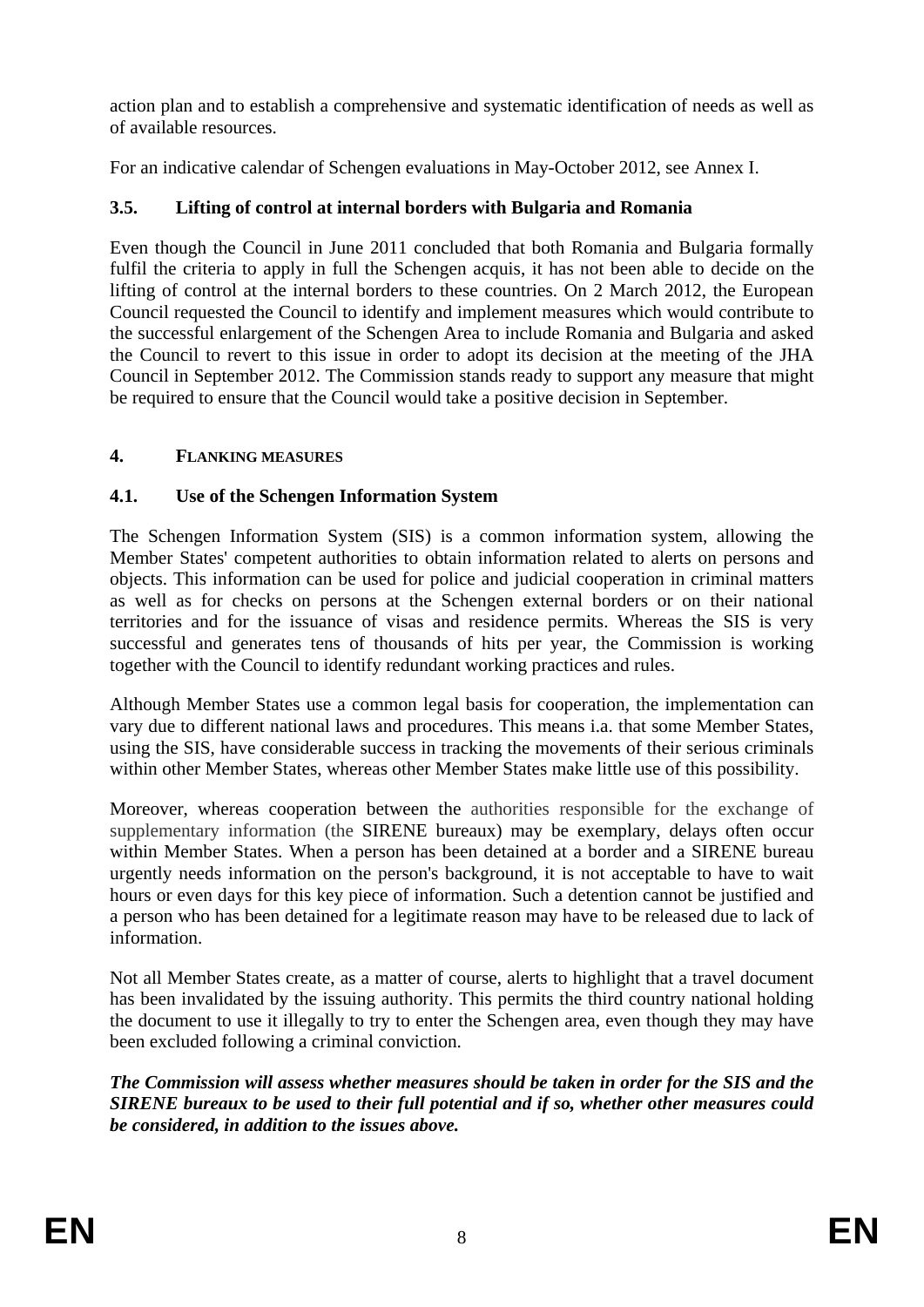action plan and to establish a comprehensive and systematic identification of needs as well as of available resources.

For an indicative calendar of Schengen evaluations in May-October 2012, see Annex I.

# **3.5. Lifting of control at internal borders with Bulgaria and Romania**

Even though the Council in June 2011 concluded that both Romania and Bulgaria formally fulfil the criteria to apply in full the Schengen acquis, it has not been able to decide on the lifting of control at the internal borders to these countries. On 2 March 2012, the European Council requested the Council to identify and implement measures which would contribute to the successful enlargement of the Schengen Area to include Romania and Bulgaria and asked the Council to revert to this issue in order to adopt its decision at the meeting of the JHA Council in September 2012. The Commission stands ready to support any measure that might be required to ensure that the Council would take a positive decision in September.

# **4. FLANKING MEASURES**

# **4.1. Use of the Schengen Information System**

The Schengen Information System (SIS) is a common information system, allowing the Member States' competent authorities to obtain information related to alerts on persons and objects. This information can be used for police and judicial cooperation in criminal matters as well as for checks on persons at the Schengen external borders or on their national territories and for the issuance of visas and residence permits. Whereas the SIS is very successful and generates tens of thousands of hits per year, the Commission is working together with the Council to identify redundant working practices and rules.

Although Member States use a common legal basis for cooperation, the implementation can vary due to different national laws and procedures. This means i.a. that some Member States, using the SIS, have considerable success in tracking the movements of their serious criminals within other Member States, whereas other Member States make little use of this possibility.

Moreover, whereas cooperation between the authorities responsible for the exchange of supplementary information (the SIRENE bureaux) may be exemplary, delays often occur within Member States. When a person has been detained at a border and a SIRENE bureau urgently needs information on the person's background, it is not acceptable to have to wait hours or even days for this key piece of information. Such a detention cannot be justified and a person who has been detained for a legitimate reason may have to be released due to lack of information.

Not all Member States create, as a matter of course, alerts to highlight that a travel document has been invalidated by the issuing authority. This permits the third country national holding the document to use it illegally to try to enter the Schengen area, even though they may have been excluded following a criminal conviction.

*The Commission will assess whether measures should be taken in order for the SIS and the SIRENE bureaux to be used to their full potential and if so, whether other measures could be considered, in addition to the issues above.*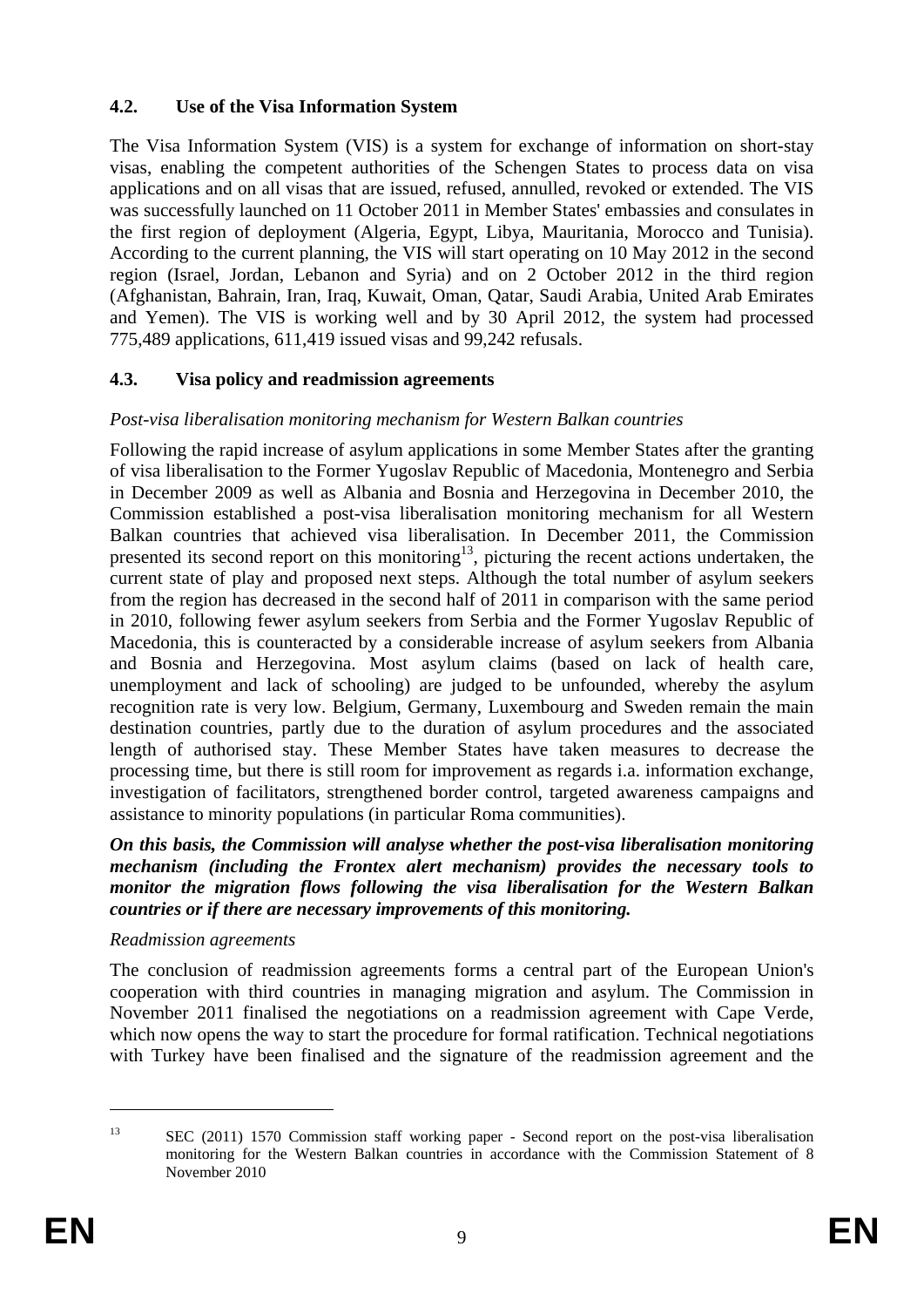### **4.2. Use of the Visa Information System**

The Visa Information System (VIS) is a system for exchange of information on short-stay visas, enabling the competent authorities of the Schengen States to process data on visa applications and on all visas that are issued, refused, annulled, revoked or extended. The VIS was successfully launched on 11 October 2011 in Member States' embassies and consulates in the first region of deployment (Algeria, Egypt, Libya, Mauritania, Morocco and Tunisia). According to the current planning, the VIS will start operating on 10 May 2012 in the second region (Israel, Jordan, Lebanon and Syria) and on 2 October 2012 in the third region (Afghanistan, Bahrain, Iran, Iraq, Kuwait, Oman, Qatar, Saudi Arabia, United Arab Emirates and Yemen). The VIS is working well and by 30 April 2012, the system had processed 775,489 applications, 611,419 issued visas and 99,242 refusals.

### **4.3. Visa policy and readmission agreements**

### *Post-visa liberalisation monitoring mechanism for Western Balkan countries*

Following the rapid increase of asylum applications in some Member States after the granting of visa liberalisation to the Former Yugoslav Republic of Macedonia, Montenegro and Serbia in December 2009 as well as Albania and Bosnia and Herzegovina in December 2010, the Commission established a post-visa liberalisation monitoring mechanism for all Western Balkan countries that achieved visa liberalisation. In December 2011, the Commission presented its second report on this monitoring<sup>13</sup>, picturing the recent actions undertaken, the current state of play and proposed next steps. Although the total number of asylum seekers from the region has decreased in the second half of 2011 in comparison with the same period in 2010, following fewer asylum seekers from Serbia and the Former Yugoslav Republic of Macedonia, this is counteracted by a considerable increase of asylum seekers from Albania and Bosnia and Herzegovina. Most asylum claims (based on lack of health care, unemployment and lack of schooling) are judged to be unfounded, whereby the asylum recognition rate is very low. Belgium, Germany, Luxembourg and Sweden remain the main destination countries, partly due to the duration of asylum procedures and the associated length of authorised stay. These Member States have taken measures to decrease the processing time, but there is still room for improvement as regards i.a. information exchange, investigation of facilitators, strengthened border control, targeted awareness campaigns and assistance to minority populations (in particular Roma communities).

*On this basis, the Commission will analyse whether the post-visa liberalisation monitoring mechanism (including the Frontex alert mechanism) provides the necessary tools to monitor the migration flows following the visa liberalisation for the Western Balkan countries or if there are necessary improvements of this monitoring.* 

#### *Readmission agreements*

The conclusion of readmission agreements forms a central part of the European Union's cooperation with third countries in managing migration and asylum. The Commission in November 2011 finalised the negotiations on a readmission agreement with Cape Verde, which now opens the way to start the procedure for formal ratification. Technical negotiations with Turkey have been finalised and the signature of the readmission agreement and the

<sup>1</sup> 

<sup>&</sup>lt;sup>13</sup> SEC (2011) 1570 Commission staff working paper - Second report on the post-visa liberalisation monitoring for the Western Balkan countries in accordance with the Commission Statement of 8 November 2010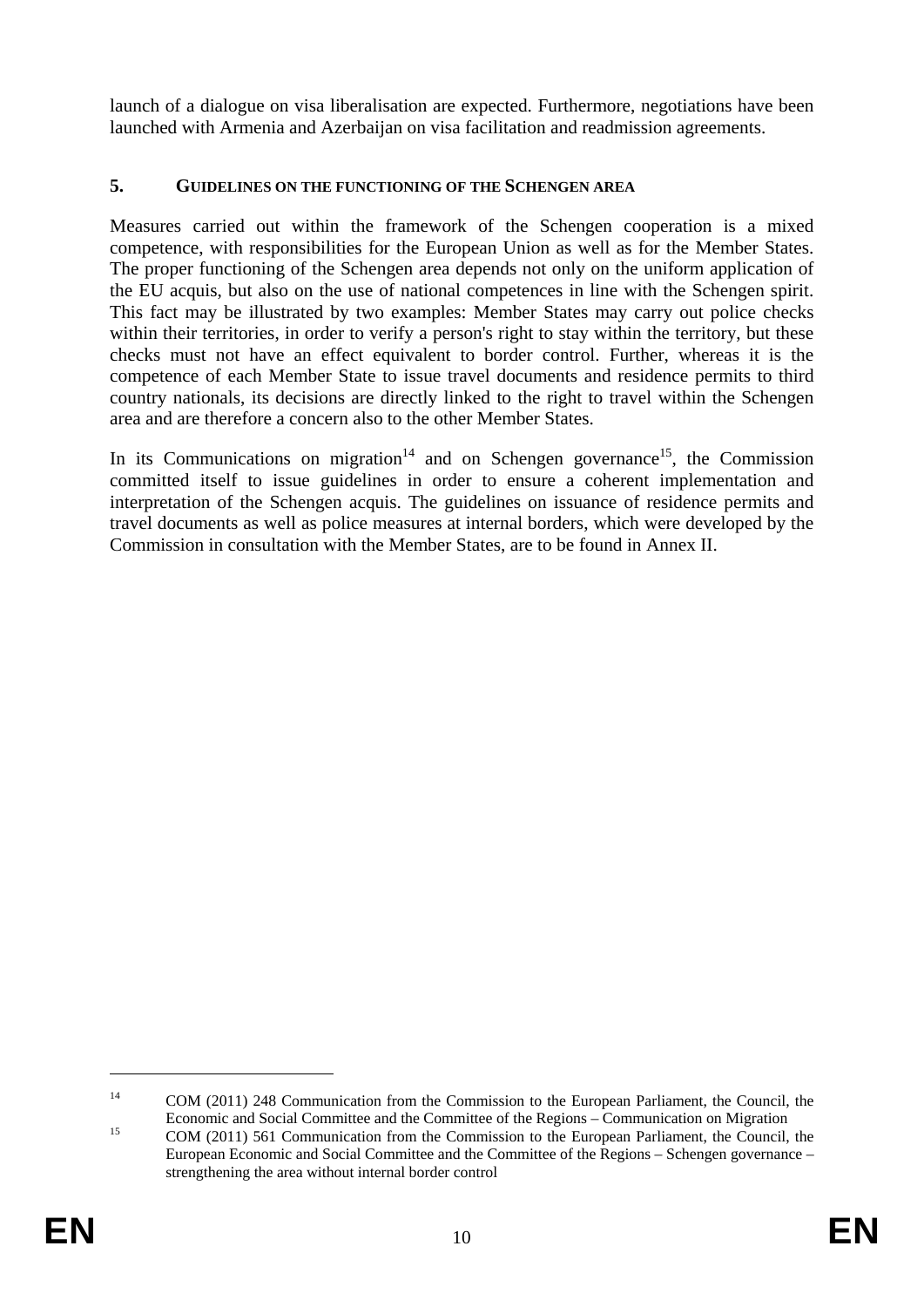launch of a dialogue on visa liberalisation are expected. Furthermore, negotiations have been launched with Armenia and Azerbaijan on visa facilitation and readmission agreements.

### **5. GUIDELINES ON THE FUNCTIONING OF THE SCHENGEN AREA**

Measures carried out within the framework of the Schengen cooperation is a mixed competence, with responsibilities for the European Union as well as for the Member States. The proper functioning of the Schengen area depends not only on the uniform application of the EU acquis, but also on the use of national competences in line with the Schengen spirit. This fact may be illustrated by two examples: Member States may carry out police checks within their territories, in order to verify a person's right to stay within the territory, but these checks must not have an effect equivalent to border control. Further, whereas it is the competence of each Member State to issue travel documents and residence permits to third country nationals, its decisions are directly linked to the right to travel within the Schengen area and are therefore a concern also to the other Member States.

In its Communications on migration<sup>14</sup> and on Schengen governance<sup>15</sup>, the Commission committed itself to issue guidelines in order to ensure a coherent implementation and interpretation of the Schengen acquis. The guidelines on issuance of residence permits and travel documents as well as police measures at internal borders, which were developed by the Commission in consultation with the Member States, are to be found in Annex II.

<u>.</u>

<sup>&</sup>lt;sup>14</sup> COM (2011) 248 Communication from the Commission to the European Parliament, the Council, the

Economic and Social Committee and the Committee of the Regions – Communication on Migration COM (2011) 561 Communication from the Commission to the European Parliament, the Council, the European Economic and Social Committee and the Committee of the Regions – Schengen governance – strengthening the area without internal border control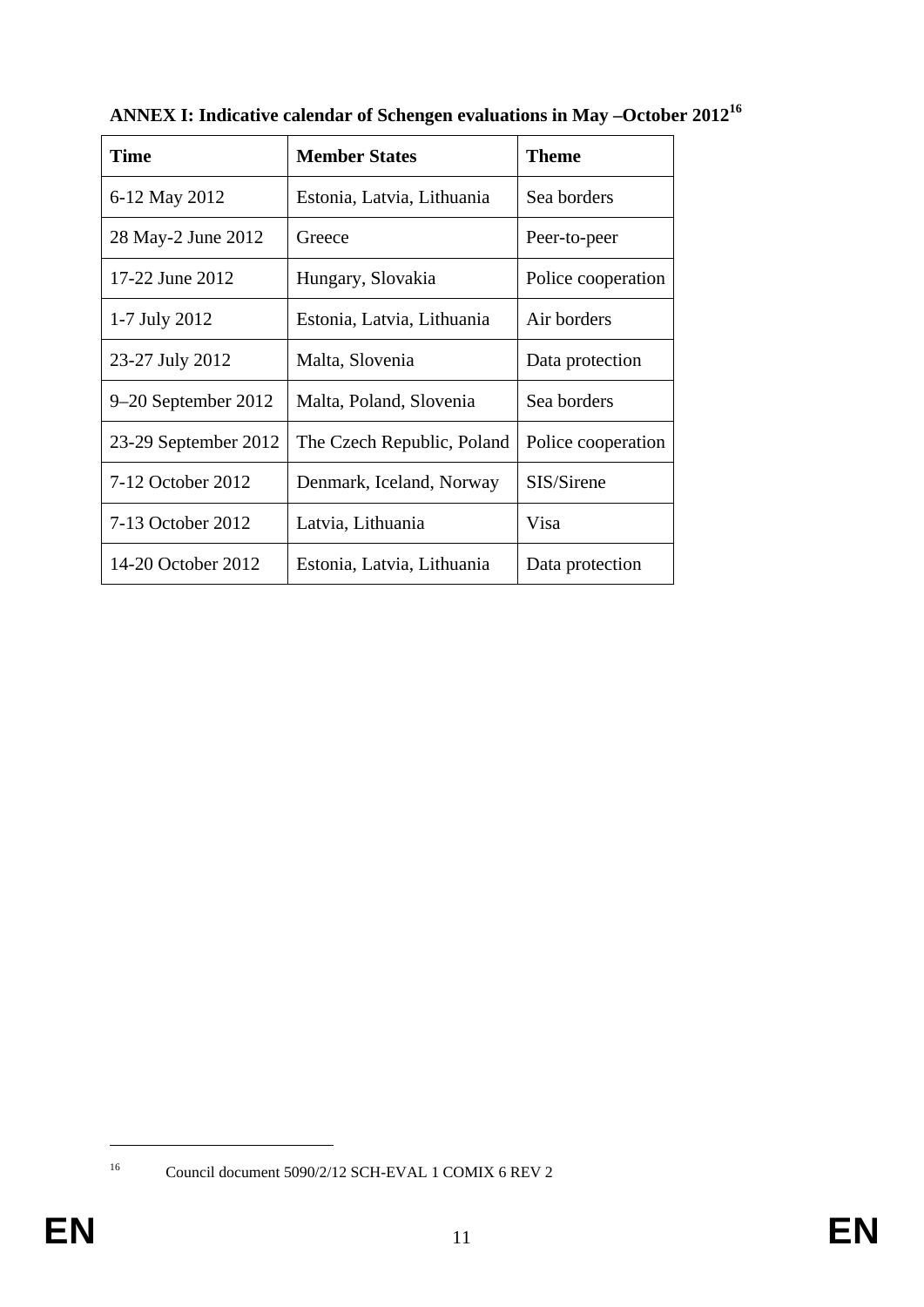| <b>Time</b>           | <b>Member States</b>       | Theme              |
|-----------------------|----------------------------|--------------------|
| 6-12 May 2012         | Estonia, Latvia, Lithuania | Sea borders        |
| 28 May-2 June 2012    | Greece                     | Peer-to-peer       |
| 17-22 June 2012       | Hungary, Slovakia          | Police cooperation |
| 1-7 July 2012         | Estonia, Latvia, Lithuania | Air borders        |
| 23-27 July 2012       | Malta, Slovenia            | Data protection    |
| $9-20$ September 2012 | Malta, Poland, Slovenia    | Sea borders        |
| 23-29 September 2012  | The Czech Republic, Poland | Police cooperation |
| 7-12 October 2012     | Denmark, Iceland, Norway   | SIS/Sirene         |
| 7-13 October 2012     | Latvia, Lithuania          | Visa               |
| 14-20 October 2012    | Estonia, Latvia, Lithuania | Data protection    |

**ANNEX I: Indicative calendar of Schengen evaluations in May –October 2012<sup>16</sup>**

<sup>1</sup> 

<sup>16</sup> Council document 5090/2/12 SCH-EVAL 1 COMIX 6 REV 2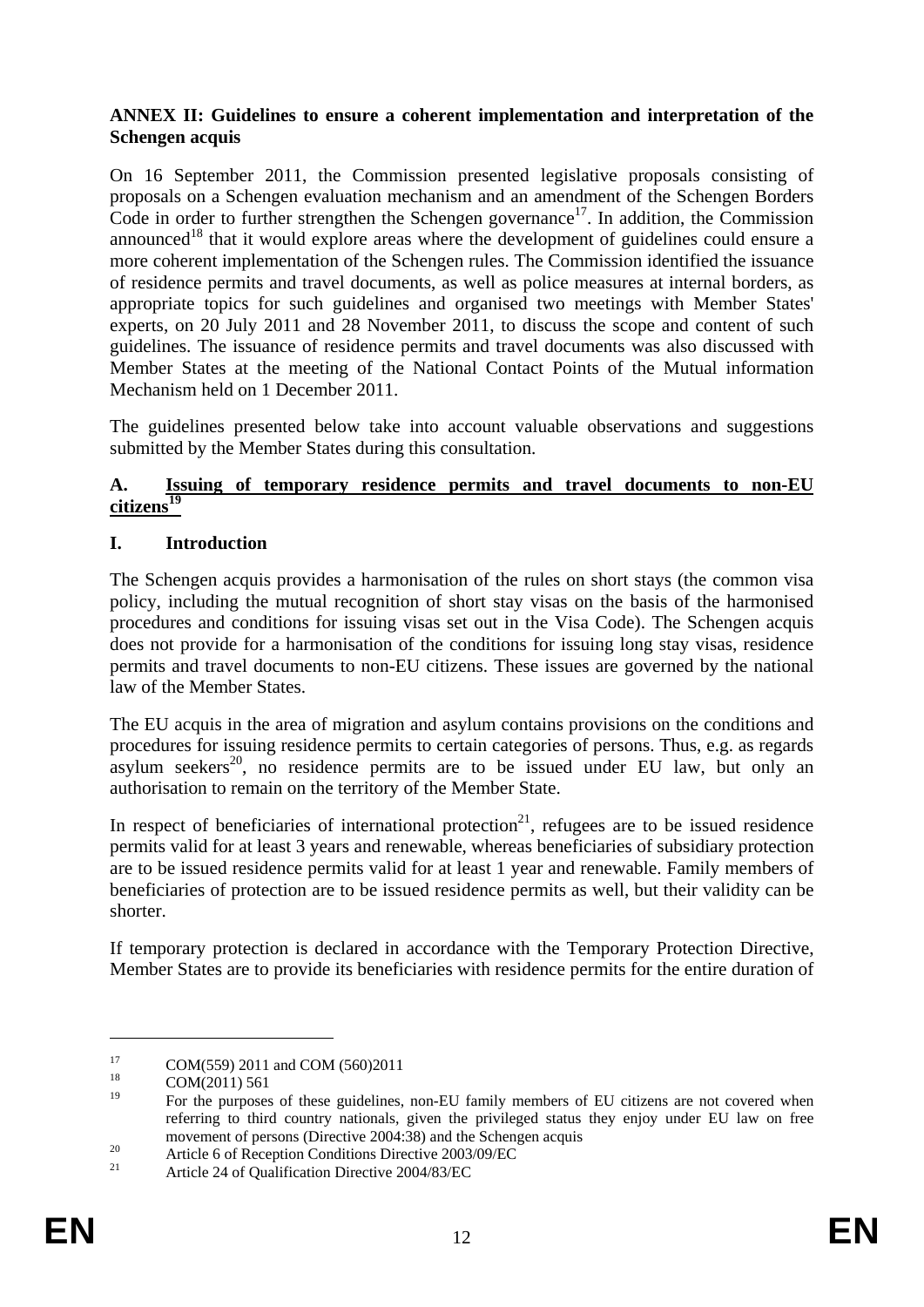#### **ANNEX II: Guidelines to ensure a coherent implementation and interpretation of the Schengen acquis**

On 16 September 2011, the Commission presented legislative proposals consisting of proposals on a Schengen evaluation mechanism and an amendment of the Schengen Borders Code in order to further strengthen the Schengen governance<sup>17</sup>. In addition, the Commission announced<sup>18</sup> that it would explore areas where the development of guidelines could ensure a more coherent implementation of the Schengen rules. The Commission identified the issuance of residence permits and travel documents, as well as police measures at internal borders, as appropriate topics for such guidelines and organised two meetings with Member States' experts, on 20 July 2011 and 28 November 2011, to discuss the scope and content of such guidelines. The issuance of residence permits and travel documents was also discussed with Member States at the meeting of the National Contact Points of the Mutual information Mechanism held on 1 December 2011.

The guidelines presented below take into account valuable observations and suggestions submitted by the Member States during this consultation.

#### **A. Issuing of temporary residence permits and travel documents to non-EU citizens<sup>19</sup>**

### **I. Introduction**

The Schengen acquis provides a harmonisation of the rules on short stays (the common visa policy, including the mutual recognition of short stay visas on the basis of the harmonised procedures and conditions for issuing visas set out in the Visa Code). The Schengen acquis does not provide for a harmonisation of the conditions for issuing long stay visas, residence permits and travel documents to non-EU citizens. These issues are governed by the national law of the Member States.

The EU acquis in the area of migration and asylum contains provisions on the conditions and procedures for issuing residence permits to certain categories of persons. Thus, e.g. as regards asylum seekers<sup>20</sup>, no residence permits are to be issued under EU law, but only an authorisation to remain on the territory of the Member State.

In respect of beneficiaries of international protection<sup>21</sup>, refugees are to be issued residence permits valid for at least 3 years and renewable, whereas beneficiaries of subsidiary protection are to be issued residence permits valid for at least 1 year and renewable. Family members of beneficiaries of protection are to be issued residence permits as well, but their validity can be shorter.

If temporary protection is declared in accordance with the Temporary Protection Directive, Member States are to provide its beneficiaries with residence permits for the entire duration of

 $17$  COM(559) 2011 and COM (560)2011

 $\frac{18}{19}$  COM(2011) 561

<sup>19</sup> For the purposes of these guidelines, non-EU family members of EU citizens are not covered when referring to third country nationals, given the privileged status they enjoy under EU law on free movement of persons (Directive 2004:38) and the Schengen acquis<br>
20 Article 6 of Reception Conditions Directive 2003/09/EC<br>
21 Article 24 of Qualification Directive 2004/92/EC

<sup>21</sup> Article 24 of Qualification Directive 2004/83/EC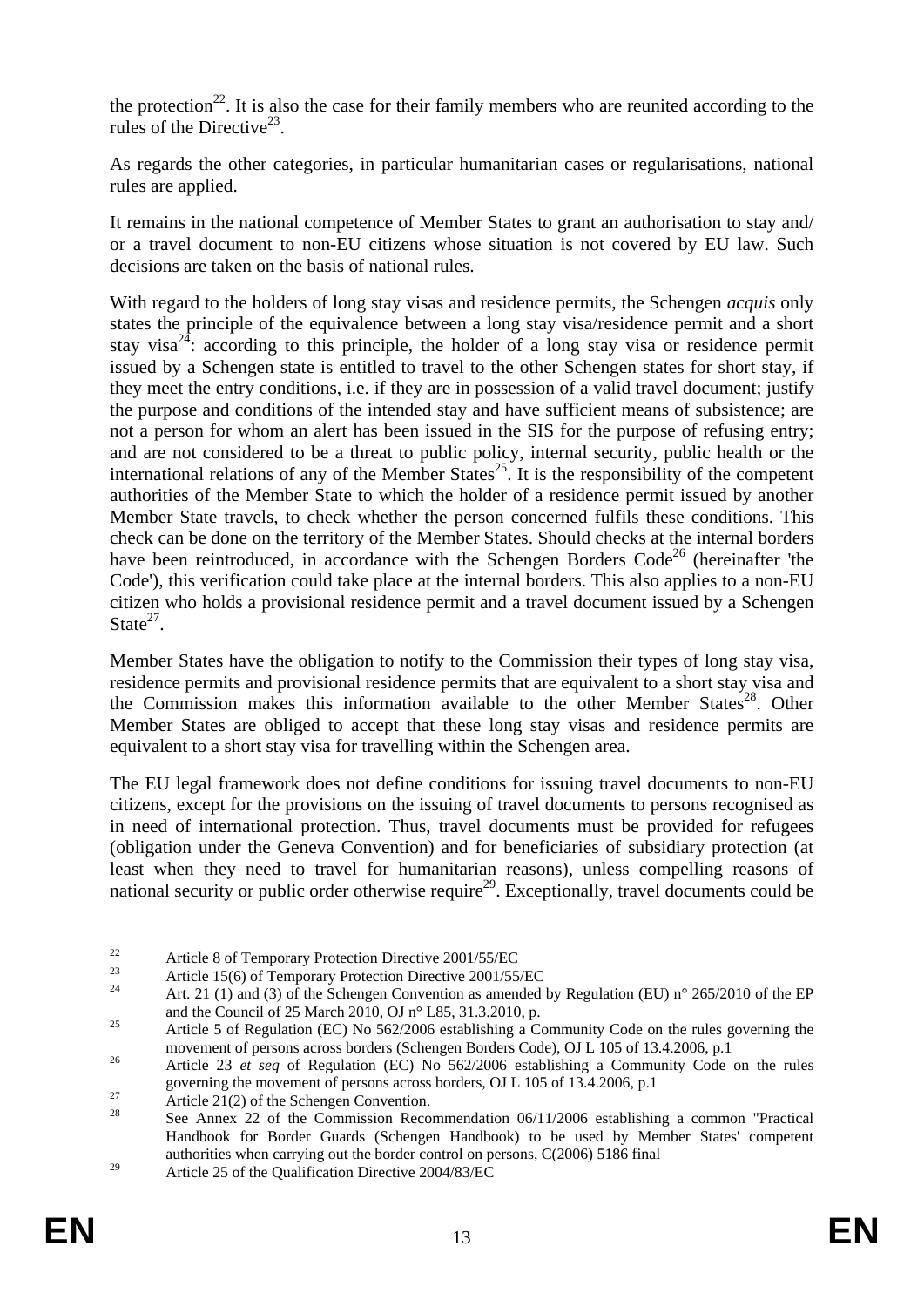the protection<sup>22</sup>. It is also the case for their family members who are reunited according to the rules of the Directive<sup>23</sup>.

As regards the other categories, in particular humanitarian cases or regularisations, national rules are applied.

It remains in the national competence of Member States to grant an authorisation to stay and/ or a travel document to non-EU citizens whose situation is not covered by EU law. Such decisions are taken on the basis of national rules.

With regard to the holders of long stay visas and residence permits, the Schengen *acquis* only states the principle of the equivalence between a long stay visa/residence permit and a short stay visa<sup>24</sup>: according to this principle, the holder of a long stay visa or residence permit issued by a Schengen state is entitled to travel to the other Schengen states for short stay, if they meet the entry conditions, i.e. if they are in possession of a valid travel document; justify the purpose and conditions of the intended stay and have sufficient means of subsistence; are not a person for whom an alert has been issued in the SIS for the purpose of refusing entry; and are not considered to be a threat to public policy, internal security, public health or the international relations of any of the Member States<sup>25</sup>. It is the responsibility of the competent authorities of the Member State to which the holder of a residence permit issued by another Member State travels, to check whether the person concerned fulfils these conditions. This check can be done on the territory of the Member States. Should checks at the internal borders have been reintroduced, in accordance with the Schengen Borders  $Code<sup>26</sup>$  (hereinafter 'the Code'), this verification could take place at the internal borders. This also applies to a non-EU citizen who holds a provisional residence permit and a travel document issued by a Schengen  $State^{27}$ 

Member States have the obligation to notify to the Commission their types of long stay visa, residence permits and provisional residence permits that are equivalent to a short stay visa and the Commission makes this information available to the other Member States<sup>28</sup>. Other Member States are obliged to accept that these long stay visas and residence permits are equivalent to a short stay visa for travelling within the Schengen area.

The EU legal framework does not define conditions for issuing travel documents to non-EU citizens, except for the provisions on the issuing of travel documents to persons recognised as in need of international protection. Thus, travel documents must be provided for refugees (obligation under the Geneva Convention) and for beneficiaries of subsidiary protection (at least when they need to travel for humanitarian reasons), unless compelling reasons of national security or public order otherwise require<sup>29</sup>. Exceptionally, travel documents could be

<sup>&</sup>lt;sup>22</sup><br>Article 8 of Temporary Protection Directive 2001/55/EC<br>Article 15(6) of Temporary Protection Directive 2001/55/EC

Art. 21 (1) and (3) of the Schengen Convention as amended by Regulation (EU) n° 265/2010 of the EP and the Council of 25 March 2010, OJ n° L85, 31.3.2010, p.

<sup>&</sup>lt;sup>25</sup> Article 5 of Regulation (EC) No 562/2006 establishing a Community Code on the rules governing the movement of persons across borders (Schengen Borders Code), OJ L 105 of 13.4.2006, p.1

<sup>&</sup>lt;sup>26</sup> Article 23 *et seq* of Regulation (EC) No  $562/2006$  establishing a Community Code on the rules governing the movement of persons across borders, OJ L 105 of 13.4.2006, p.1<br>Article 21(2) of the Schengen Convention.

<sup>28</sup> See Annex 22 of the Commission Recommendation 06/11/2006 establishing a common "Practical Handbook for Border Guards (Schengen Handbook) to be used by Member States' competent authorities when carrying out the border control on persons, C(2006) 5186 final

<sup>&</sup>lt;sup>29</sup> Article 25 of the Qualification Directive 2004/83/EC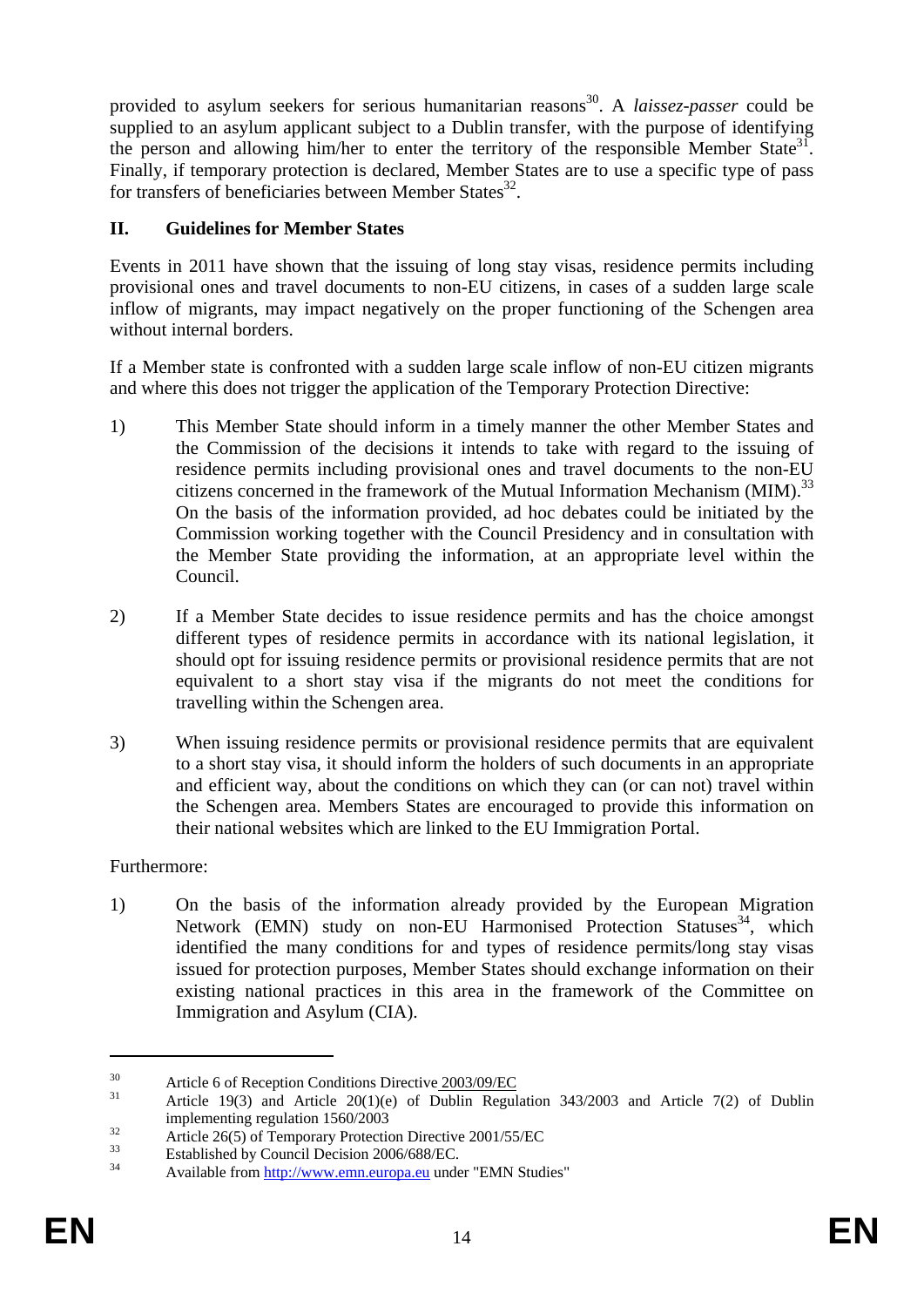provided to asylum seekers for serious humanitarian reasons<sup>30</sup>. A *laissez-passer* could be supplied to an asylum applicant subject to a Dublin transfer, with the purpose of identifying the person and allowing him/her to enter the territory of the responsible Member State<sup>31</sup>. Finally, if temporary protection is declared, Member States are to use a specific type of pass for transfers of beneficiaries between Member States<sup>32</sup>.

### **II. Guidelines for Member States**

Events in 2011 have shown that the issuing of long stay visas, residence permits including provisional ones and travel documents to non-EU citizens, in cases of a sudden large scale inflow of migrants, may impact negatively on the proper functioning of the Schengen area without internal borders.

If a Member state is confronted with a sudden large scale inflow of non-EU citizen migrants and where this does not trigger the application of the Temporary Protection Directive:

- 1) This Member State should inform in a timely manner the other Member States and the Commission of the decisions it intends to take with regard to the issuing of residence permits including provisional ones and travel documents to the non-EU citizens concerned in the framework of the Mutual Information Mechanism (MIM).<sup>33</sup> On the basis of the information provided, ad hoc debates could be initiated by the Commission working together with the Council Presidency and in consultation with the Member State providing the information, at an appropriate level within the Council.
- 2) If a Member State decides to issue residence permits and has the choice amongst different types of residence permits in accordance with its national legislation, it should opt for issuing residence permits or provisional residence permits that are not equivalent to a short stay visa if the migrants do not meet the conditions for travelling within the Schengen area.
- 3) When issuing residence permits or provisional residence permits that are equivalent to a short stay visa, it should inform the holders of such documents in an appropriate and efficient way, about the conditions on which they can (or can not) travel within the Schengen area. Members States are encouraged to provide this information on their national websites which are linked to the EU Immigration Portal.

### Furthermore:

1) On the basis of the information already provided by the European Migration Network (EMN) study on non-EU Harmonised Protection Statuses<sup>34</sup>, which identified the many conditions for and types of residence permits/long stay visas issued for protection purposes, Member States should exchange information on their existing national practices in this area in the framework of the Committee on Immigration and Asylum (CIA).

<sup>&</sup>lt;sup>30</sup><br>Article 6 of Reception Conditions Directive 2003/09/EC

Article 19(3) and Article 20(1)(e) of Dublin Regulation 343/2003 and Article 7(2) of Dublin

implementing regulation 1560/2003<br>Article 26(5) of Temporary Protection Directive 2001/55/EC

 $\frac{33}{34}$  Established by Council Decision 2006/688/EC.

[<sup>34</sup> Available from http://www.emn.europa.eu under "EMN Studies"](http://www.emn.europa.eu/)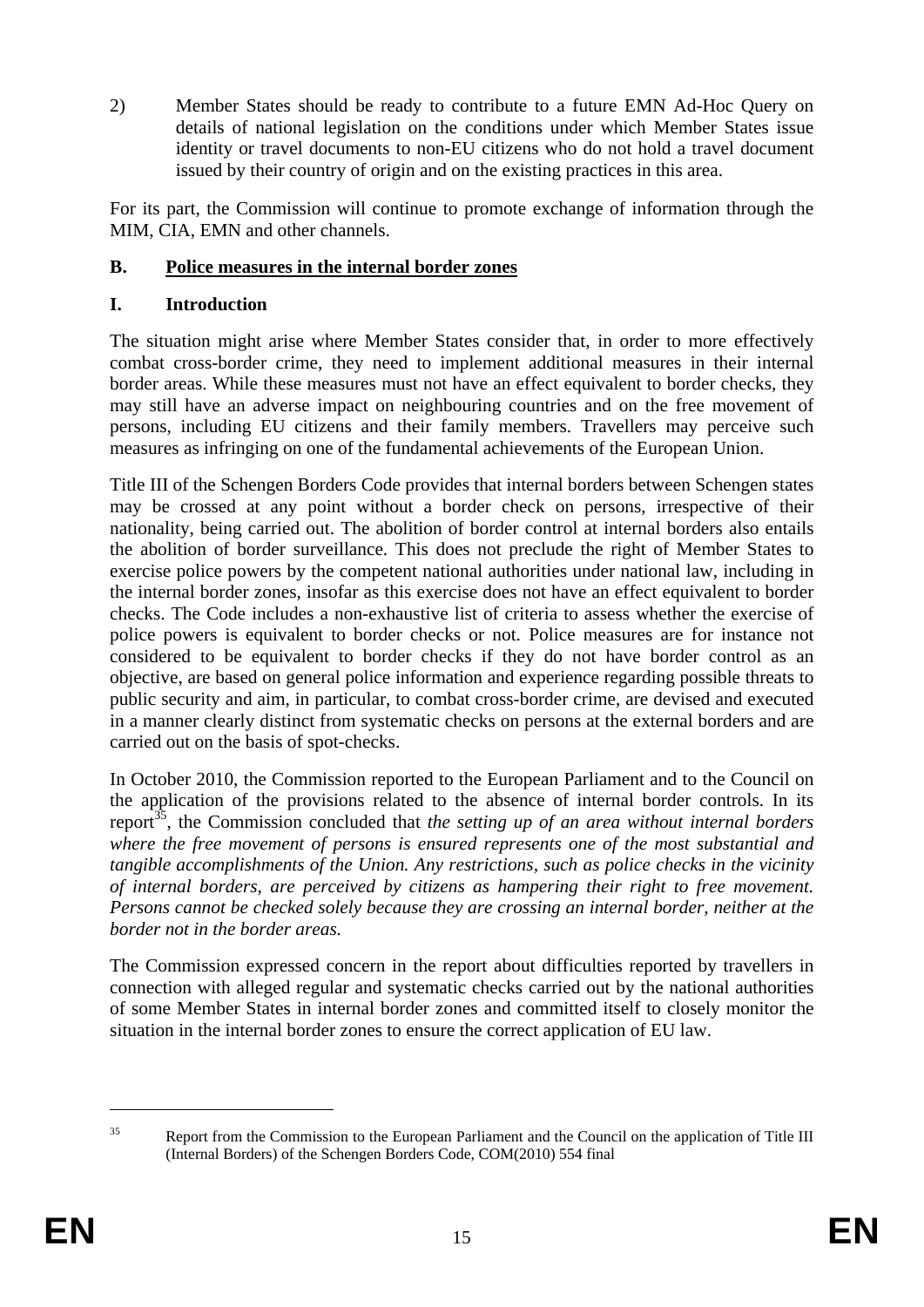2) Member States should be ready to contribute to a future EMN Ad-Hoc Query on details of national legislation on the conditions under which Member States issue identity or travel documents to non-EU citizens who do not hold a travel document issued by their country of origin and on the existing practices in this area.

For its part, the Commission will continue to promote exchange of information through the MIM, CIA, EMN and other channels.

# **B. Police measures in the internal border zones**

### **I. Introduction**

The situation might arise where Member States consider that, in order to more effectively combat cross-border crime, they need to implement additional measures in their internal border areas. While these measures must not have an effect equivalent to border checks, they may still have an adverse impact on neighbouring countries and on the free movement of persons, including EU citizens and their family members. Travellers may perceive such measures as infringing on one of the fundamental achievements of the European Union.

Title III of the Schengen Borders Code provides that internal borders between Schengen states may be crossed at any point without a border check on persons, irrespective of their nationality, being carried out. The abolition of border control at internal borders also entails the abolition of border surveillance. This does not preclude the right of Member States to exercise police powers by the competent national authorities under national law, including in the internal border zones, insofar as this exercise does not have an effect equivalent to border checks. The Code includes a non-exhaustive list of criteria to assess whether the exercise of police powers is equivalent to border checks or not. Police measures are for instance not considered to be equivalent to border checks if they do not have border control as an objective, are based on general police information and experience regarding possible threats to public security and aim, in particular, to combat cross-border crime, are devised and executed in a manner clearly distinct from systematic checks on persons at the external borders and are carried out on the basis of spot-checks.

In October 2010, the Commission reported to the European Parliament and to the Council on the application of the provisions related to the absence of internal border controls. In its report35, the Commission concluded that *the setting up of an area without internal borders where the free movement of persons is ensured represents one of the most substantial and tangible accomplishments of the Union. Any restrictions, such as police checks in the vicinity of internal borders, are perceived by citizens as hampering their right to free movement. Persons cannot be checked solely because they are crossing an internal border, neither at the border not in the border areas.* 

The Commission expressed concern in the report about difficulties reported by travellers in connection with alleged regular and systematic checks carried out by the national authorities of some Member States in internal border zones and committed itself to closely monitor the situation in the internal border zones to ensure the correct application of EU law.

<sup>1</sup> 

<sup>&</sup>lt;sup>35</sup> Report from the Commission to the European Parliament and the Council on the application of Title III (Internal Borders) of the Schengen Borders Code, COM(2010) 554 final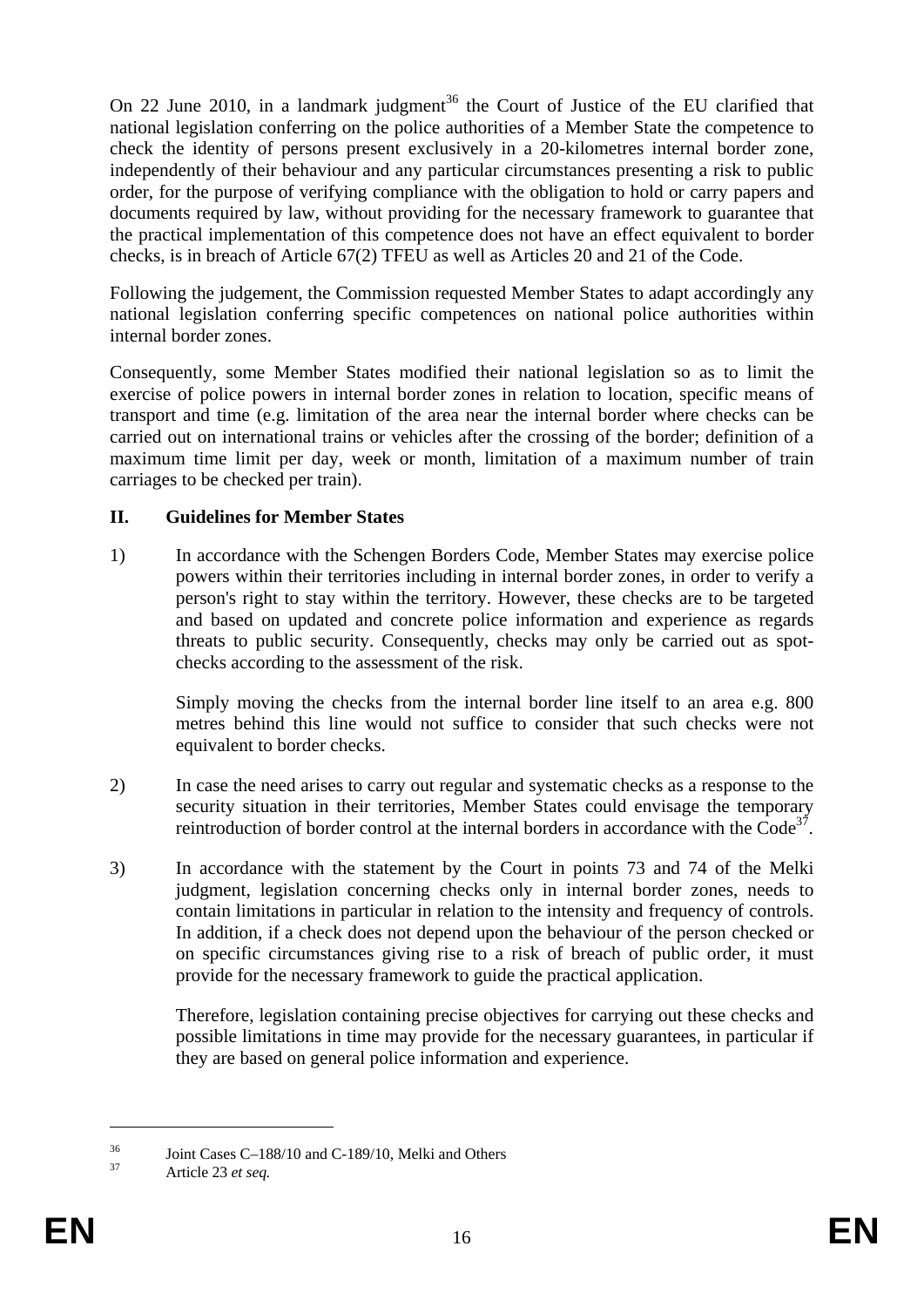On 22 June 2010, in a landmark judgment<sup>36</sup> the Court of Justice of the EU clarified that national legislation conferring on the police authorities of a Member State the competence to check the identity of persons present exclusively in a 20-kilometres internal border zone, independently of their behaviour and any particular circumstances presenting a risk to public order, for the purpose of verifying compliance with the obligation to hold or carry papers and documents required by law, without providing for the necessary framework to guarantee that the practical implementation of this competence does not have an effect equivalent to border checks, is in breach of Article 67(2) TFEU as well as Articles 20 and 21 of the Code.

Following the judgement, the Commission requested Member States to adapt accordingly any national legislation conferring specific competences on national police authorities within internal border zones.

Consequently, some Member States modified their national legislation so as to limit the exercise of police powers in internal border zones in relation to location, specific means of transport and time (e.g. limitation of the area near the internal border where checks can be carried out on international trains or vehicles after the crossing of the border; definition of a maximum time limit per day, week or month, limitation of a maximum number of train carriages to be checked per train).

### **II. Guidelines for Member States**

1) In accordance with the Schengen Borders Code, Member States may exercise police powers within their territories including in internal border zones, in order to verify a person's right to stay within the territory. However, these checks are to be targeted and based on updated and concrete police information and experience as regards threats to public security. Consequently, checks may only be carried out as spotchecks according to the assessment of the risk.

Simply moving the checks from the internal border line itself to an area e.g. 800 metres behind this line would not suffice to consider that such checks were not equivalent to border checks.

- 2) In case the need arises to carry out regular and systematic checks as a response to the security situation in their territories, Member States could envisage the temporary reintroduction of border control at the internal borders in accordance with the  $\text{Code}^{37}$ .
- 3) In accordance with the statement by the Court in points 73 and 74 of the Melki judgment, legislation concerning checks only in internal border zones, needs to contain limitations in particular in relation to the intensity and frequency of controls. In addition, if a check does not depend upon the behaviour of the person checked or on specific circumstances giving rise to a risk of breach of public order, it must provide for the necessary framework to guide the practical application.

Therefore, legislation containing precise objectives for carrying out these checks and possible limitations in time may provide for the necessary guarantees, in particular if they are based on general police information and experience.

 $\frac{36}{37}$  Joint Cases C-188/10 and C-189/10, Melki and Others

<u>.</u>

Article 23 et seq.